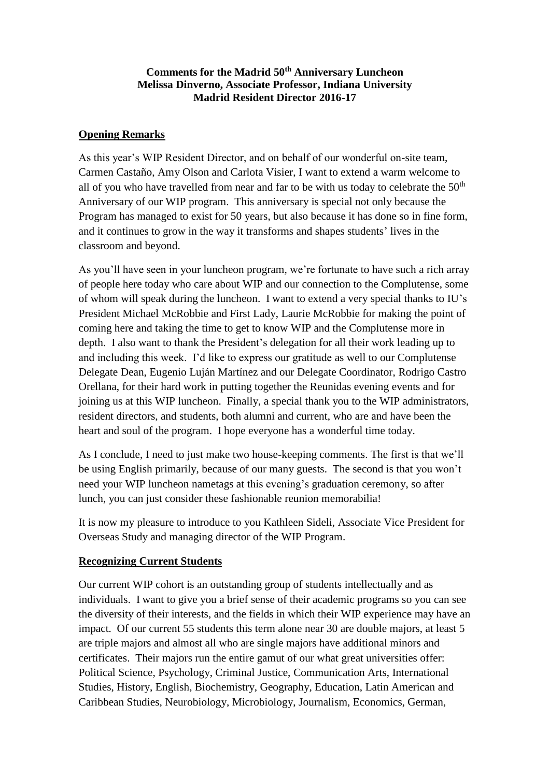## **Comments for the Madrid 50th Anniversary Luncheon Melissa Dinverno, Associate Professor, Indiana University Madrid Resident Director 2016-17**

## **Opening Remarks**

As this year's WIP Resident Director, and on behalf of our wonderful on-site team, Carmen Castaño, Amy Olson and Carlota Visier, I want to extend a warm welcome to all of you who have travelled from near and far to be with us today to celebrate the  $50<sup>th</sup>$ Anniversary of our WIP program. This anniversary is special not only because the Program has managed to exist for 50 years, but also because it has done so in fine form, and it continues to grow in the way it transforms and shapes students' lives in the classroom and beyond.

As you'll have seen in your luncheon program, we're fortunate to have such a rich array of people here today who care about WIP and our connection to the Complutense, some of whom will speak during the luncheon. I want to extend a very special thanks to IU's President Michael McRobbie and First Lady, Laurie McRobbie for making the point of coming here and taking the time to get to know WIP and the Complutense more in depth. I also want to thank the President's delegation for all their work leading up to and including this week. I'd like to express our gratitude as well to our Complutense Delegate Dean, Eugenio Luján Martínez and our Delegate Coordinator, Rodrigo Castro Orellana, for their hard work in putting together the Reunidas evening events and for joining us at this WIP luncheon. Finally, a special thank you to the WIP administrators, resident directors, and students, both alumni and current, who are and have been the heart and soul of the program. I hope everyone has a wonderful time today.

As I conclude, I need to just make two house-keeping comments. The first is that we'll be using English primarily, because of our many guests. The second is that you won't need your WIP luncheon nametags at this evening's graduation ceremony, so after lunch, you can just consider these fashionable reunion memorabilia!

It is now my pleasure to introduce to you Kathleen Sideli, Associate Vice President for Overseas Study and managing director of the WIP Program.

## **Recognizing Current Students**

Our current WIP cohort is an outstanding group of students intellectually and as individuals. I want to give you a brief sense of their academic programs so you can see the diversity of their interests, and the fields in which their WIP experience may have an impact. Of our current 55 students this term alone near 30 are double majors, at least 5 are triple majors and almost all who are single majors have additional minors and certificates. Their majors run the entire gamut of our what great universities offer: Political Science, Psychology, Criminal Justice, Communication Arts, International Studies, History, English, Biochemistry, Geography, Education, Latin American and Caribbean Studies, Neurobiology, Microbiology, Journalism, Economics, German,